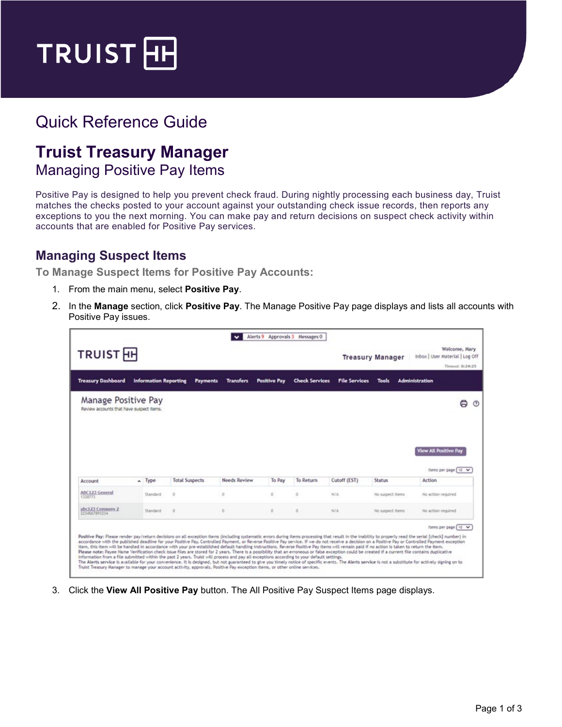

## Quick Reference Guide

## **Truist Treasury Manager** Managing Positive Pay Items

Positive Pay is designed to help you prevent check fraud. During nightly processing each business day, Truist matches the checks posted to your account against your outstanding check issue records, then reports any exceptions to you the next morning. You can make pay and return decisions on suspect check activity within accounts that are enabled for Positive Pay services.

## **Managing Suspect Items**

**To Manage Suspect Items for Positive Pay Accounts:**

- 1. From the main menu, select **Positive Pay**.
- 2. In the **Manage** section, click **Positive Pay**. The Manage Positive Pay page displays and lists all accounts with Positive Pay issues.

|                                                                                                                                                                                                                                                                                                                                                                                                                                                                                                                                                                                                                                                                                                                                                                                                                                                                                                                                                                                                                                                                                                                                                                                                                                                                                                                |                              |                       |                  | Alerts 9 Approvals 3 Messages 0 |                       |                      |                                                                      |                                          |
|----------------------------------------------------------------------------------------------------------------------------------------------------------------------------------------------------------------------------------------------------------------------------------------------------------------------------------------------------------------------------------------------------------------------------------------------------------------------------------------------------------------------------------------------------------------------------------------------------------------------------------------------------------------------------------------------------------------------------------------------------------------------------------------------------------------------------------------------------------------------------------------------------------------------------------------------------------------------------------------------------------------------------------------------------------------------------------------------------------------------------------------------------------------------------------------------------------------------------------------------------------------------------------------------------------------|------------------------------|-----------------------|------------------|---------------------------------|-----------------------|----------------------|----------------------------------------------------------------------|------------------------------------------|
| <b>TRUIST</b> <sub>H</sub><br><b>Treasury Manager</b>                                                                                                                                                                                                                                                                                                                                                                                                                                                                                                                                                                                                                                                                                                                                                                                                                                                                                                                                                                                                                                                                                                                                                                                                                                                          |                              |                       |                  |                                 |                       |                      | Welcome, Mary<br>Inbox   User Material   Log Off<br>Timeout: 0:24:25 |                                          |
| <b>Treasury Dashboard</b>                                                                                                                                                                                                                                                                                                                                                                                                                                                                                                                                                                                                                                                                                                                                                                                                                                                                                                                                                                                                                                                                                                                                                                                                                                                                                      | <b>Information Reporting</b> | <b>Payments</b>       | <b>Transfers</b> | <b>Positive Pay</b>             | <b>Check Services</b> | <b>File Services</b> | Tools                                                                | <b>Administration</b>                    |
| Manage Positive Pay<br>Review accounts that have suspect items.                                                                                                                                                                                                                                                                                                                                                                                                                                                                                                                                                                                                                                                                                                                                                                                                                                                                                                                                                                                                                                                                                                                                                                                                                                                |                              |                       |                  |                                 |                       |                      |                                                                      | A<br>(3)<br><b>View All Positive Pay</b> |
| Account                                                                                                                                                                                                                                                                                                                                                                                                                                                                                                                                                                                                                                                                                                                                                                                                                                                                                                                                                                                                                                                                                                                                                                                                                                                                                                        | $\sim$ Type                  | <b>Total Suspects</b> | Needs Review     | To Pay                          | To Return             | Cutoff (EST)         | <b>Status</b>                                                        | items per page 10 V<br>Action            |
| ABC123 General<br>1338773                                                                                                                                                                                                                                                                                                                                                                                                                                                                                                                                                                                                                                                                                                                                                                                                                                                                                                                                                                                                                                                                                                                                                                                                                                                                                      | Standard                     | z,                    | Ō.               | Ö.                              | ō                     | N/A                  | No suspect items                                                     | No action required                       |
| abc123 Company 2<br>2234567891234                                                                                                                                                                                                                                                                                                                                                                                                                                                                                                                                                                                                                                                                                                                                                                                                                                                                                                                                                                                                                                                                                                                                                                                                                                                                              | Standard                     | o                     | O.               | O                               | $\circ$               | NJA.                 | No suspect items                                                     | No action required                       |
| Positive Pay: Please render pay/return decisions on all exception items (including systematic errors during items processing that result in the inability to properly read the serial (check) number) in<br>accordance with the published deadline for your Positive Pay, Controlled Payment, or Reverse Positive Pay service. If we do not receive a decision on a Positive Pay or Controlled Payment exception<br>item, this item will be handled in accordance with your pre-established default handling instructions. Reverse Positive Pay items will remain paid if no action is taken to return the item.<br>Please note: Payee Name Verification check issue files are stored for 2 years. There is a possibility that an erroneous or false exception could be created if a current file contains duplicative<br>information from a file submitted within the past 2 years. Truist will process and pay all exceptions according to your default settings.<br>The Alerts service is available for your convenience. It is designed, but not guaranteed to give you timely notice of specific events. The Alerts service is not a substitute for actively signing on to<br>Truist Treasury Manager to manage your account activity, approvals, Positive Pay exception items, or other online services, |                              |                       |                  |                                 |                       |                      |                                                                      | Items per page [ 10 V                    |

3. Click the **View All Positive Pay** button. The All Positive Pay Suspect Items page displays.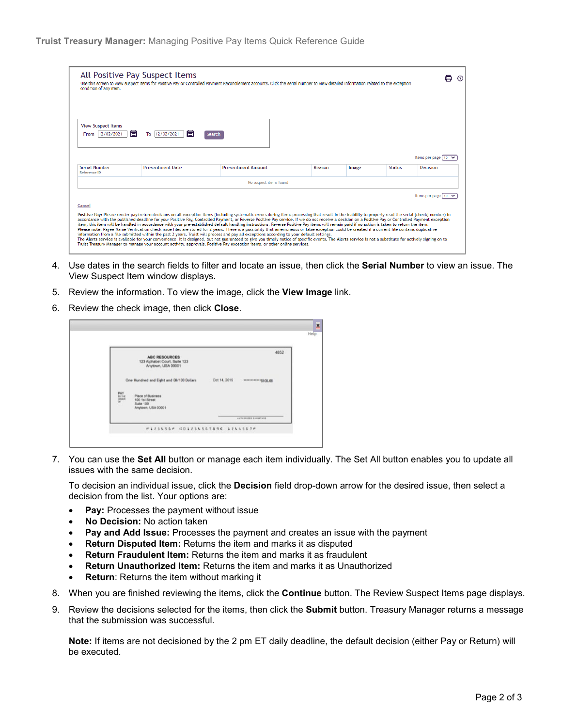| All Positive Pay Suspect Items<br>condition of any item. |                                 | Use this screen to view suspect items for Positive Pay or Controlled Payment Reconcilement accounts. Click the serial number to view detailed information related to the exception                                                                                                                                                                                                                                                                                                                                                                                                                                                                                                                                                                                                                                                                                                                                                                                                                                                                                                                                                                                                                                                                                                                             |        |       |               |                                 |    | <u>ි</u> |
|----------------------------------------------------------|---------------------------------|----------------------------------------------------------------------------------------------------------------------------------------------------------------------------------------------------------------------------------------------------------------------------------------------------------------------------------------------------------------------------------------------------------------------------------------------------------------------------------------------------------------------------------------------------------------------------------------------------------------------------------------------------------------------------------------------------------------------------------------------------------------------------------------------------------------------------------------------------------------------------------------------------------------------------------------------------------------------------------------------------------------------------------------------------------------------------------------------------------------------------------------------------------------------------------------------------------------------------------------------------------------------------------------------------------------|--------|-------|---------------|---------------------------------|----|----------|
| <b>View Suspect Items</b><br>同<br>From 12/02/2021        | 后<br>12/02/2021<br>To<br>Search |                                                                                                                                                                                                                                                                                                                                                                                                                                                                                                                                                                                                                                                                                                                                                                                                                                                                                                                                                                                                                                                                                                                                                                                                                                                                                                                |        |       |               |                                 |    |          |
| <b>Serial Number</b>                                     | <b>Presentment Date</b>         | <b>Presentment Amount</b>                                                                                                                                                                                                                                                                                                                                                                                                                                                                                                                                                                                                                                                                                                                                                                                                                                                                                                                                                                                                                                                                                                                                                                                                                                                                                      | Reason | Image | <b>Status</b> | Items per page [ 10<br>Decision |    |          |
| Reference ID                                             |                                 | No suspect items found                                                                                                                                                                                                                                                                                                                                                                                                                                                                                                                                                                                                                                                                                                                                                                                                                                                                                                                                                                                                                                                                                                                                                                                                                                                                                         |        |       |               |                                 |    |          |
| Cancel                                                   |                                 | Positive Pay: Please render pay/return decisions on all exception items (including systematic errors during items processing that result in the inability to properly read the serial [check] number) in<br>accordance with the published deadline for your Positive Pay, Controlled Payment, or Reverse Positive Pay service. If we do not receive a decision on a Positive Pay or Controlled Payment exception<br>item, this item will be handled in accordance with your pre-established default handling instructions. Reverse Positive Pay items will remain paid if no action is taken to return the item.<br>Please note: Pavee Name Verification check issue files are stored for 2 vears. There is a possibility that an erroneous or false exception could be created if a current file contains duplicative<br>information from a file submitted within the past 2 years. Truist will process and pay all exceptions according to your default settings.<br>The Alerts service is available for your convenience. It is designed, but not guaranteed to give you timely notice of specific events. The Alerts service is not a substitute for actively signing on to<br>Truist Treasury Manager to manage your account activity, approvals, Positive Pay exception items, or other online services, |        |       |               | Items per page                  | 10 |          |

- 4. Use dates in the search fields to filter and locate an issue, then click the **Serial Number** to view an issue. The View Suspect Item window displays.
- 5. Review the information. To view the image, click the **View Image** link.
- 6. Review the check image, then click **Close**.

|                                                                                                 | <b>ABC RESOURCES</b><br>123 Alphabet Court, Suite 123                  |              | 4852                     |
|-------------------------------------------------------------------------------------------------|------------------------------------------------------------------------|--------------|--------------------------|
|                                                                                                 | Anytown, USA 00001                                                     |              |                          |
|                                                                                                 | One Hundred and Eight and 08/100 Dollars                               | Oct 14, 2015 | *************** \$108.08 |
| $\begin{array}{l} \mathrm{PAV} \\ \mathrm{10.74} \\ \mathrm{5000} \\ \mathrm{5000} \end{array}$ | Place of Business<br>100 1st Street<br>Suite 100<br>Anytown, USA 00001 |              |                          |

7. You can use the **Set All** button or manage each item individually. The Set All button enables you to update all issues with the same decision.

To decision an individual issue, click the **Decision** field drop-down arrow for the desired issue, then select a decision from the list. Your options are:

- **Pay:** Processes the payment without issue
- **No Decision:** No action taken
- **Pay and Add Issue:** Processes the payment and creates an issue with the payment
- **Return Disputed Item:** Returns the item and marks it as disputed
- **Return Fraudulent Item:** Returns the item and marks it as fraudulent
- **Return Unauthorized Item:** Returns the item and marks it as Unauthorized
- **Return**: Returns the item without marking it
- 8. When you are finished reviewing the items, click the **Continue** button. The Review Suspect Items page displays.
- 9. Review the decisions selected for the items, then click the **Submit** button. Treasury Manager returns a message that the submission was successful.

**Note:** If items are not decisioned by the 2 pm ET daily deadline, the default decision (either Pay or Return) will be executed.